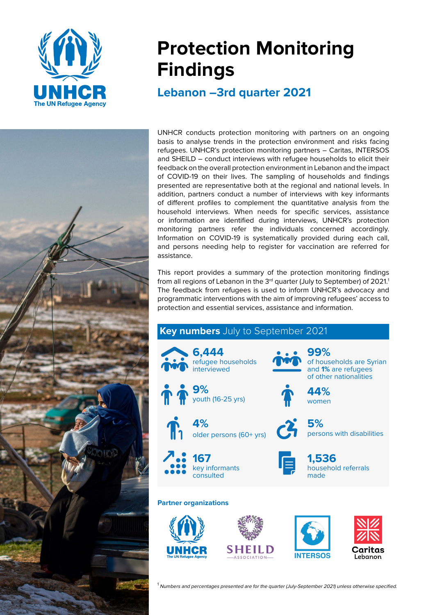

# **Protection Monitoring Findings**

**Lebanon –3rd quarter 2021** 

UNHCR conducts protection monitoring with partners on an ongoing basis to analyse trends in the protection environment and risks facing refugees. UNHCR's protection monitoring partners – Caritas, INTERSOS and SHEILD – conduct interviews with refugee households to elicit their feedback on the overall protection environment in Lebanon and the impact of COVID-19 on their lives. The sampling of households and findings presented are representative both at the regional and national levels. In addition, partners conduct a number of interviews with key informants of different profiles to complement the quantitative analysis from the household interviews. When needs for specific services, assistance or information are identified during interviews, UNHCR's protection monitoring partners refer the individuals concerned accordingly. Information on COVID-19 is systematically provided during each call, and persons needing help to register for vaccination are referred for assistance.

This report provides a summary of the protection monitoring findings from all regions of Lebanon in the 3<sup>rd</sup> quarter (July to September) of 2021.<sup>1</sup> The feedback from refugees is used to inform UNHCR's advocacy and programmatic interventions with the aim of improving refugees' access to protection and essential services, assistance and information.



 $1$  Numbers and percentages presented are for the quarter (July-September 2021) unless otherwise specified.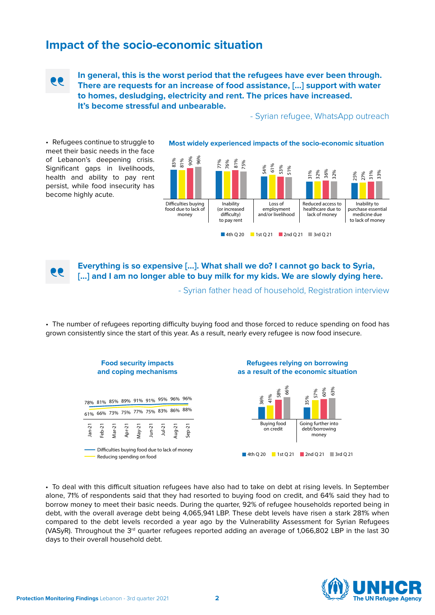## **Impact of the socio-economic situation**



**In general, this is the worst period that the refugees have ever been through. There are requests for an increase of food assistance, […] support with water to homes, desludging, electricity and rent. The prices have increased. It's become stressful and unbearable.**

- Syrian refugee, WhatsApp outreach

•  Refugees continue to struggle to meet their basic needs in the face of Lebanon's deepening crisis. Significant gaps in livelihoods, health and ability to pay rent persist, while food insecurity has become highly acute.



**Most widely experienced impacts of the socio-economic situation**

**Everything is so expensive […]. What shall we do? I cannot go back to Syria, […] and I am no longer able to buy milk for my kids. We are slowly dying here.**

- Syrian father head of household, Registration interview

•  The number of refugees reporting difficulty buying food and those forced to reduce spending on food has grown consistently since the start of this year. As a result, nearly every refugee is now food insecure.



•  To deal with this difficult situation refugees have also had to take on debt at rising levels. In September alone, 71% of respondents said that they had resorted to buying food on credit, and 64% said they had to borrow money to meet their basic needs. During the quarter, 92% of refugee households reported being in debt, with the overall average debt being 4,065,941 LBP. These debt levels have risen a stark 281% when compared to the debt levels recorded a year ago by the Vulnerability Assessment for Syrian Refugees (VASyR). Throughout the  $3<sup>rd</sup>$  quarter refugees reported adding an average of 1,066,802 LBP in the last 30 days to their overall household debt.

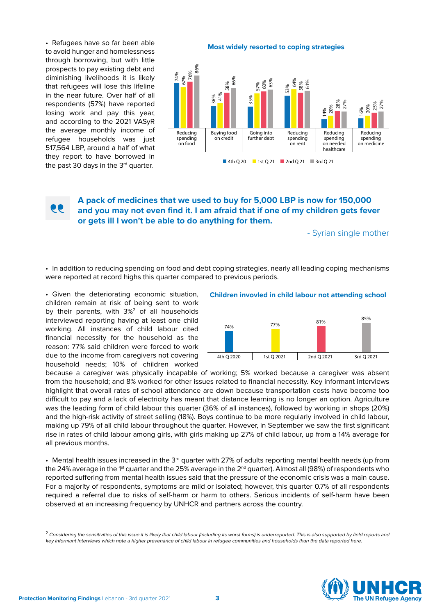•  Refugees have so far been able to avoid hunger and homelessness through borrowing, but with little prospects to pay existing debt and diminishing livelihoods it is likely that refugees will lose this lifeline in the near future. Over half of all respondents (57%) have reported losing work and pay this year, and according to the 2021 VASyR the average monthly income of refugee households was just 517,564 LBP, around a half of what they report to have borrowed in the past 30 days in the  $3<sup>rd</sup>$  quarter.

**Most widely resorted to coping strategies**



### **A pack of medicines that we used to buy for 5,000 LBP is now for 150,000 and you may not even find it. I am afraid that if one of my children gets fever or gets ill I won't be able to do anything for them.**

- Syrian single mother

•  In addition to reducing spending on food and debt coping strategies, nearly all leading coping mechanisms were reported at record highs this quarter compared to previous periods.

•  Given the deteriorating economic situation, children remain at risk of being sent to work by their parents, with 3%<sup>2</sup> of all households interviewed reporting having at least one child working. All instances of child labour cited financial necessity for the household as the reason: 77% said children were forced to work due to the income from caregivers not covering household needs; 10% of children worked

**Children invovled in child labour not attending school**



because a caregiver was physically incapable of working; 5% worked because a caregiver was absent from the household; and 8% worked for other issues related to financial necessity. Key informant interviews highlight that overall rates of school attendance are down because transportation costs have become too difficult to pay and a lack of electricity has meant that distance learning is no longer an option. Agriculture was the leading form of child labour this quarter (36% of all instances), followed by working in shops (20%) and the high-risk activity of street selling (18%). Boys continue to be more regularly involved in child labour, making up 79% of all child labour throughout the quarter. However, in September we saw the first significant rise in rates of child labour among girls, with girls making up 27% of child labour, up from a 14% average for all previous months.

• Mental health issues increased in the 3<sup>rd</sup> quarter with 27% of adults reporting mental health needs (up from the 24% average in the 1<sup>st</sup> quarter and the 25% average in the 2<sup>nd</sup> quarter). Almost all (98%) of respondents who reported suffering from mental health issues said that the pressure of the economic crisis was a main cause. For a majority of respondents, symptoms are mild or isolated; however, this quarter 0.7% of all respondents required a referral due to risks of self-harm or harm to others. Serious incidents of self-harm have been observed at an increasing frequency by UNHCR and partners across the country.



<sup>&</sup>lt;sup>2</sup> Considering the sensitivities of this issue it is likely that child labour (including its worst forms) is underreported. This is also supported by field reports and key informant interviews which note a higher prevenance of child labour in refugee communities and households than the data reported here.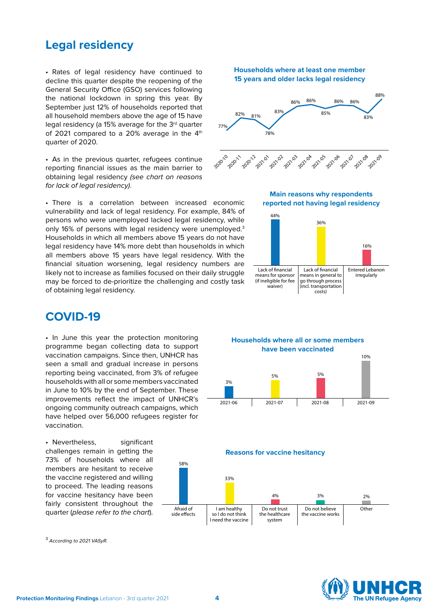## **Legal residency**

•  Rates of legal residency have continued to decline this quarter despite the reopening of the General Security Office (GSO) services following the national lockdown in spring this year. By September just 12% of households reported that all household members above the age of 15 have legal residency (a 15% average for the 3<sup>rd</sup> quarter of 2021 compared to a 20% average in the 4<sup>th</sup> quarter of 2020.

•  As in the previous quarter, refugees continue reporting financial issues as the main barrier to obtaining legal residency (see chart on reasons for lack of legal residency).

•  There is a correlation between increased economic vulnerability and lack of legal residency. For example, 84% of persons who were unemployed lacked legal residency, while only 16% of persons with legal residency were unemployed.<sup>3</sup> Households in which all members above 15 years do not have legal residency have 14% more debt than households in which all members above 15 years have legal residency. With the financial situation worsening, legal residency numbers are likely not to increase as families focused on their daily struggle may be forced to de-prioritize the challenging and costly task of obtaining legal residency.

## **COVID-19**

•  In June this year the protection monitoring programme began collecting data to support vaccination campaigns. Since then, UNHCR has seen a small and gradual increase in persons reporting being vaccinated, from 3% of refugee households with all or some members vaccinated in June to 10% by the end of September. These improvements reflect the impact of UNHCR's ongoing community outreach campaigns, which have helped over 56,000 refugees register for vaccination.

• Nevertheless, significant challenges remain in getting the 73% of households where all members are hesitant to receive the vaccine registered and willing to proceed. The leading reasons for vaccine hesitancy have been fairly consistent throughout the quarter (please refer to the chart).



<sup>3</sup> According to 2021 VASyR.

#### **Households where at least one member 15 years and older lacks legal residency**



#### **Main reasons why respondents reported not having legal residency**







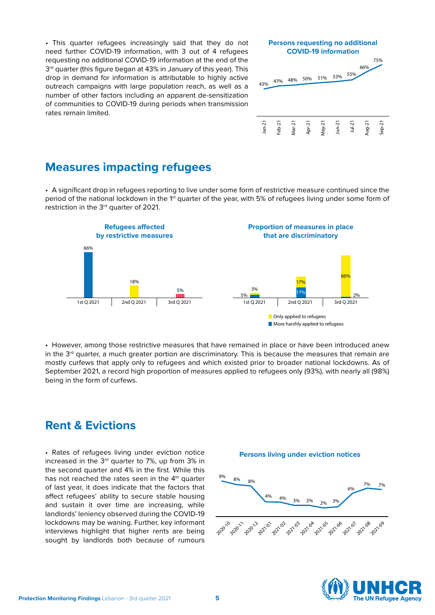•  This quarter refugees increasingly said that they do not need further COVID-19 information, with 3 out of 4 refugees requesting no additional COVID-19 information at the end of the 3<sup>rd</sup> quarter (this figure began at 43% in January of this year). This drop in demand for information is attributable to highly active outreach campaigns with large population reach, as well as a number of other factors including an apparent de-sensitization of communities to COVID-19 during periods when transmission rates remain limited.



## **Measures impacting refugees**

•  A significant drop in refugees reporting to live under some form of restrictive measure continued since the period of the national lockdown in the 1<sup>st</sup> quarter of the year, with 5% of refugees living under some form of restriction in the 3<sup>rd</sup> quarter of 2021.



•  However, among those restrictive measures that have remained in place or have been introduced anew in the  $3<sup>rd</sup>$  quarter, a much greater portion are discriminatory. This is because the measures that remain are mostly curfews that apply only to refugees and which existed prior to broader national lockdowns. As of September 2021, a record high proportion of measures applied to refugees only (93%), with nearly all (98%) being in the form of curfews.

## **Rent & Evictions**

•  Rates of refugees living under eviction notice increased in the 3rd quarter to 7%, up from 3% in the second quarter and 4% in the first. While this has not reached the rates seen in the  $4<sup>th</sup>$  quarter of last year, it does indicate that the factors that affect refugees' ability to secure stable housing and sustain it over time are increasing, while landlords' leniency observed during the COVID-19 lockdowns may be waning. Further, key informant interviews highlight that higher rents are being sought by landlords both because of rumours